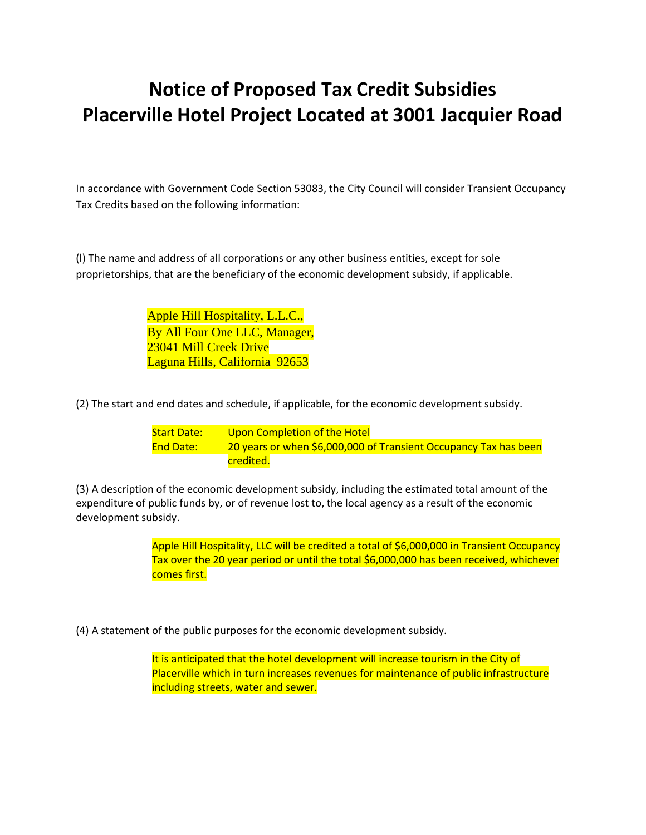## **Notice of Proposed Tax Credit Subsidies Placerville Hotel Project Located at 3001 Jacquier Road**

In accordance with Government Code Section 53083, the City Council will consider Transient Occupancy Tax Credits based on the following information:

(l) The name and address of all corporations or any other business entities, except for sole proprietorships, that are the beneficiary of the economic development subsidy, if applicable.

> Apple Hill Hospitality, L.L.C., By All Four One LLC, Manager, 23041 Mill Creek Drive Laguna Hills, California 92653

(2) The start and end dates and schedule, if applicable, for the economic development subsidy.

Start Date: Upon Completion of the Hotel End Date: 20 years or when \$6,000,000 of Transient Occupancy Tax has been credited.

(3) A description of the economic development subsidy, including the estimated total amount of the expenditure of public funds by, or of revenue lost to, the local agency as a result of the economic development subsidy.

> Apple Hill Hospitality, LLC will be credited a total of \$6,000,000 in Transient Occupancy Tax over the 20 year period or until the total \$6,000,000 has been received, whichever comes first.

(4) A statement of the public purposes for the economic development subsidy.

It is anticipated that the hotel development will increase tourism in the City of Placerville which in turn increases revenues for maintenance of public infrastructure including streets, water and sewer.